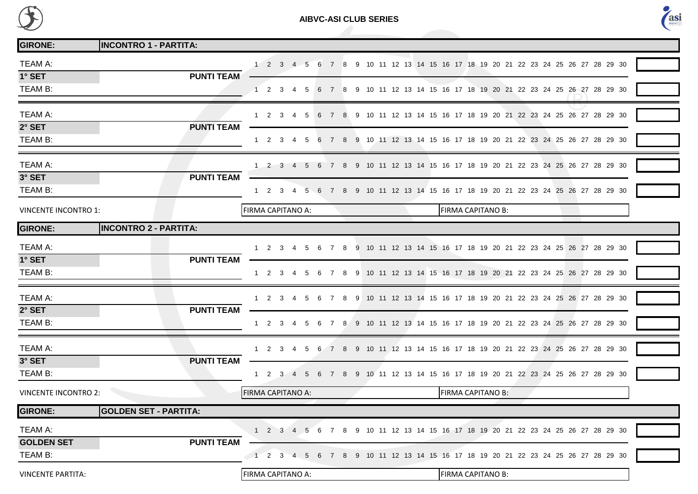

**AIBVC-ASI CLUB SERIES**



| <b>GIRONE:</b>              | <b>INCONTRO 1 - PARTITA:</b> |                                                                                                                                 |
|-----------------------------|------------------------------|---------------------------------------------------------------------------------------------------------------------------------|
| TEAM A:                     |                              | 5 6 7 8 9 10 11 12 13 14 15 16 17 18 19 20 21 22 23 24 25 26 27 28 29 30<br>$1 \quad 2 \quad 3 \quad 4$                         |
| 1° SET                      | <b>PUNTI TEAM</b>            |                                                                                                                                 |
| TEAM B:                     |                              | 9 10 11 12 13 14 15 16 17 18 19 20 21 22 23 24 25 26 27 28 29 30<br>1 2 3 4<br>-5<br>- 6<br>-8                                  |
| TEAM A:                     |                              | 5 6 7 8 9 10 11 12 13 14 15 16 17 18 19 20 21 22 23 24 25 26 27 28 29 30<br>1 2 3 4                                             |
| 2° SET                      | <b>PUNTI TEAM</b>            |                                                                                                                                 |
| TEAM B:                     |                              | 5 6 7 8 9 10 11 12 13 14 15 16 17 18 19 20 21 22 23 24 25 26 27 28 29 30<br>1 2 3 4                                             |
| TEAM A:                     |                              | 8<br>9 10 11 12 13 14 15 16 17 18 19 20 21 22 23 24 25 26 27 28 29 30<br>- 3<br>5                                               |
| 3° SET                      | <b>PUNTI TEAM</b>            |                                                                                                                                 |
| TEAM B:                     |                              | 7 8 9 10 11 12 13 14 15 16 17 18 19 20 21 22 23 24 25 26 27 28 29 30<br>1 2 3 4<br>5 6                                          |
| <b>VINCENTE INCONTRO 1:</b> |                              | FIRMA CAPITANO A:<br>FIRMA CAPITANO B:                                                                                          |
| <b>GIRONE:</b>              | <b>INCONTRO 2 - PARTITA:</b> |                                                                                                                                 |
| <b>TEAM A:</b>              |                              | 4 5 6 7 8 9 10 11 12 13 14 15 16 17 18 19 20 21 22 23 24 25 26 27 28 29 30<br>$1 \t2 \t3$                                       |
| 1° SET                      | <b>PUNTI TEAM</b>            |                                                                                                                                 |
| TEAM B:                     |                              | 7 8 9 10 11 12 13 14 15 16 17 18 19 20 21 22 23 24 25 26 27 28 29 30<br>1 2 3 4<br>5<br>- 6                                     |
| TEAM A:                     |                              | 1 2 3 4 5 6 7 8 9 10 11 12 13 14 15 16 17 18 19 20 21 22 23 24 25 26 27 28 29 30                                                |
| 2° SET                      | <b>PUNTI TEAM</b>            |                                                                                                                                 |
| TEAM B:                     |                              | 9 10 11 12 13 14 15 16 17 18 19 20 21 22 23 24 25 26 27 28 29 30<br>$1\quad 2\quad 3$<br>-8<br>$\overline{4}$<br>-5<br>- 6<br>7 |
| TEAM A:                     |                              | 1 2 3 4<br>5 6 7 8 9 10 11 12 13 14 15 16 17 18 19 20 21 22 23 24 25 26 27 28 29 30                                             |
| 3° SET                      | <b>PUNTI TEAM</b>            |                                                                                                                                 |
| TEAM B:                     |                              | 5 6 7 8 9 10 11 12 13 14 15 16 17 18 19 20 21 22 23 24 25 26 27 28 29 30<br>$1 \quad 2 \quad 3 \quad 4$                         |
| <b>VINCENTE INCONTRO 2:</b> |                              | FIRMA CAPITANO B:<br>FIRMA CAPITANO A:                                                                                          |
| <b>GIRONE:</b>              | GOLDEN SET - PARTITA:        |                                                                                                                                 |
| TEAM A:                     |                              | 4 5 6 7 8 9 10 11 12 13 14 15 16 17 18 19 20 21 22 23 24 25 26 27 28 29 30<br>$1 \quad 2 \quad 3$                               |
| <b>GOLDEN SET</b>           | <b>PUNTI TEAM</b>            |                                                                                                                                 |
| TEAM B:                     |                              | 2 <sub>3</sub><br>9 10 11 12 13 14 15 16 17 18 19 20 21 22 23 24 25 26 27 28 29 30<br>5 6<br>4                                  |
| <b>VINCENTE PARTITA:</b>    |                              | FIRMA CAPITANO B:<br>FIRMA CAPITANO A:                                                                                          |